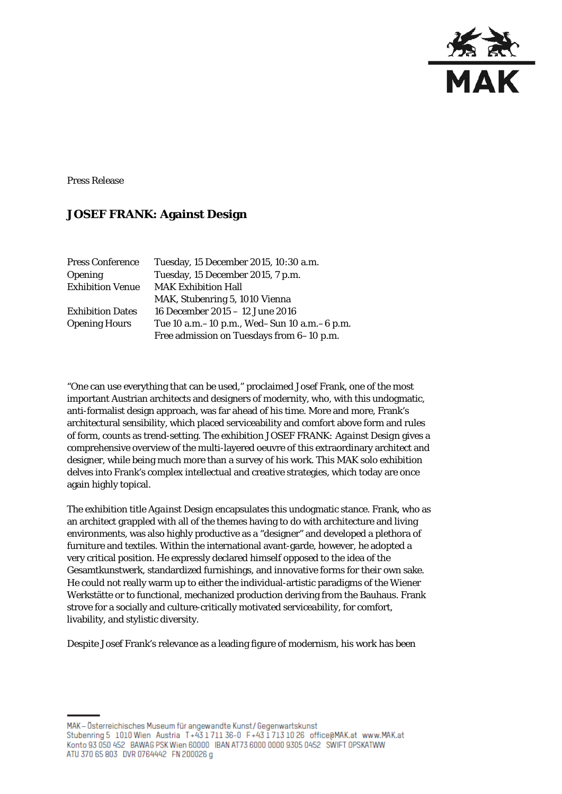

Press Release

## **JOSEF FRANK: Against Design**

| <b>Press Conference</b> | Tuesday, 15 December 2015, 10:30 a.m.         |
|-------------------------|-----------------------------------------------|
| <b>Opening</b>          | Tuesday, 15 December 2015, 7 p.m.             |
| <b>Exhibition Venue</b> | <b>MAK Exhibition Hall</b>                    |
|                         | MAK, Stubenring 5, 1010 Vienna                |
| <b>Exhibition Dates</b> | 16 December 2015 - 12 June 2016               |
| <b>Opening Hours</b>    | Tue 10 a.m. -10 p.m., Wed-Sun 10 a.m. -6 p.m. |
|                         | Free admission on Tuesdays from 6-10 p.m.     |

"One can use everything that can be used," proclaimed Josef Frank, one of the most important Austrian architects and designers of modernity, who, with this undogmatic, anti-formalist design approach, was far ahead of his time. More and more, Frank's architectural sensibility, which placed serviceability and comfort above form and rules of form, counts as trend-setting. The exhibition *JOSEF FRANK: Against Design* gives a comprehensive overview of the multi-layered oeuvre of this extraordinary architect and designer, while being much more than a survey of his work. This MAK solo exhibition delves into Frank's complex intellectual and creative strategies, which today are once again highly topical.

The exhibition title *Against Design* encapsulates this undogmatic stance. Frank, who as an architect grappled with all of the themes having to do with architecture and living environments, was also highly productive as a "designer" and developed a plethora of furniture and textiles. Within the international avant-garde, however, he adopted a very critical position. He expressly declared himself opposed to the idea of the Gesamtkunstwerk, standardized furnishings, and innovative forms for their own sake. He could not really warm up to either the individual-artistic paradigms of the Wiener Werkstätte or to functional, mechanized production deriving from the Bauhaus. Frank strove for a socially and culture-critically motivated serviceability, for comfort, livability, and stylistic diversity.

Despite Josef Frank's relevance as a leading figure of modernism, his work has been

MAK - Österreichisches Museum für angewandte Kunst / Gegenwartskunst Stubenring 5 1010 Wien Austria T+43 1711 36-0 F+43 1713 10 26 office@MAK.at www.MAK.at Konto 93 050 452 BAWAG PSK Wien 60000 BAN AT73 6000 0000 9305 0452 SWIFT 0PSKATWW ATU 370 65 803 DVR 0764442 FN 200026 g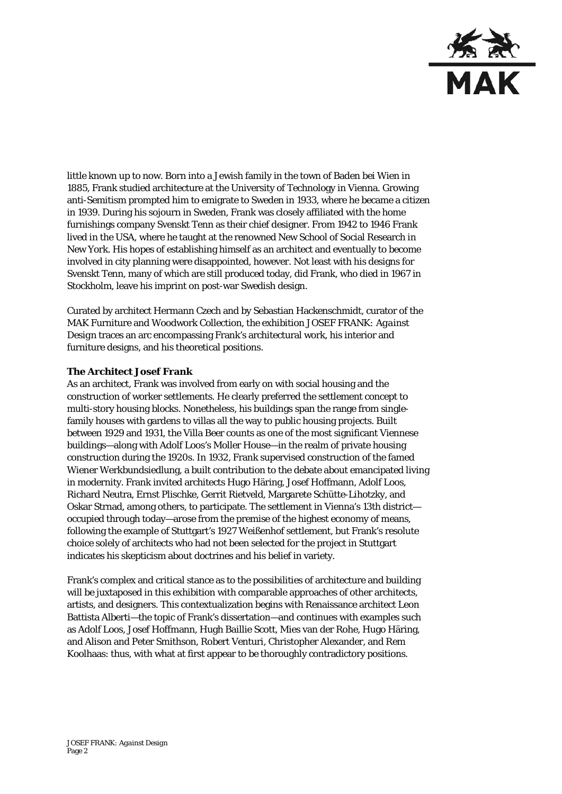

little known up to now. Born into a Jewish family in the town of Baden bei Wien in 1885, Frank studied architecture at the University of Technology in Vienna. Growing anti-Semitism prompted him to emigrate to Sweden in 1933, where he became a citizen in 1939. During his sojourn in Sweden, Frank was closely affiliated with the home furnishings company Svenskt Tenn as their chief designer. From 1942 to 1946 Frank lived in the USA, where he taught at the renowned New School of Social Research in New York. His hopes of establishing himself as an architect and eventually to become involved in city planning were disappointed, however. Not least with his designs for Svenskt Tenn, many of which are still produced today, did Frank, who died in 1967 in Stockholm, leave his imprint on post-war Swedish design.

Curated by architect Hermann Czech and by Sebastian Hackenschmidt, curator of the MAK Furniture and Woodwork Collection, the exhibition *JOSEF FRANK: Against Design* traces an arc encompassing Frank's architectural work, his interior and furniture designs, and his theoretical positions.

#### **The Architect Josef Frank**

As an architect, Frank was involved from early on with social housing and the construction of worker settlements. He clearly preferred the settlement concept to multi-story housing blocks. Nonetheless, his buildings span the range from singlefamily houses with gardens to villas all the way to public housing projects. Built between 1929 and 1931, the Villa Beer counts as one of the most significant Viennese buildings—along with Adolf Loos's Moller House—in the realm of private housing construction during the 1920s. In 1932, Frank supervised construction of the famed Wiener Werkbundsiedlung, a built contribution to the debate about emancipated living in modernity. Frank invited architects Hugo Häring, Josef Hoffmann, Adolf Loos, Richard Neutra, Ernst Plischke, Gerrit Rietveld, Margarete Schütte-Lihotzky, and Oskar Strnad, among others, to participate. The settlement in Vienna's 13th district occupied through today—arose from the premise of the highest economy of means, following the example of Stuttgart's 1927 Weißenhof settlement, but Frank's resolute choice solely of architects who had not been selected for the project in Stuttgart indicates his skepticism about doctrines and his belief in variety.

Frank's complex and critical stance as to the possibilities of architecture and building will be juxtaposed in this exhibition with comparable approaches of other architects, artists, and designers. This contextualization begins with Renaissance architect Leon Battista Alberti—the topic of Frank's dissertation—and continues with examples such as Adolf Loos, Josef Hoffmann, Hugh Baillie Scott, Mies van der Rohe, Hugo Häring, and Alison and Peter Smithson, Robert Venturi, Christopher Alexander, and Rem Koolhaas: thus, with what at first appear to be thoroughly contradictory positions.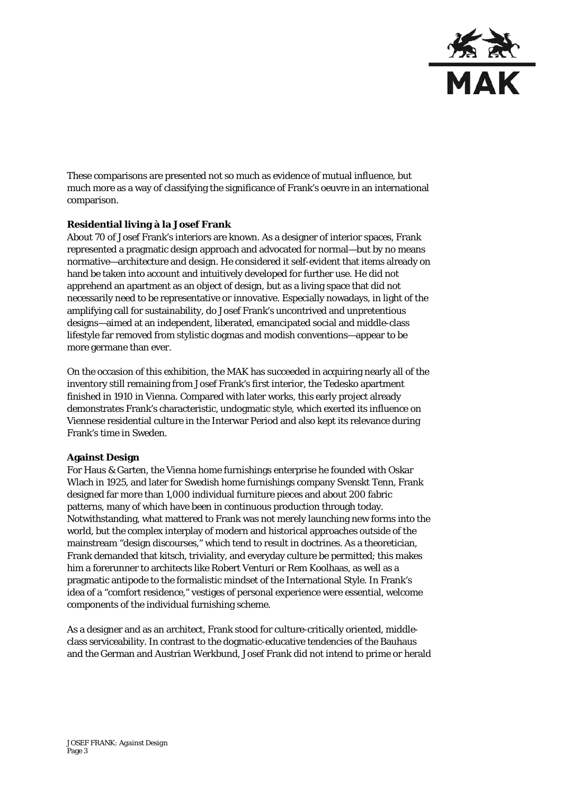

These comparisons are presented not so much as evidence of mutual influence, but much more as a way of classifying the significance of Frank's oeuvre in an international comparison.

### **Residential living à la Josef Frank**

About 70 of Josef Frank's interiors are known. As a designer of interior spaces, Frank represented a pragmatic design approach and advocated for normal—but by no means normative—architecture and design. He considered it self-evident that items already on hand be taken into account and intuitively developed for further use. He did not apprehend an apartment as an object of design, but as a living space that did not necessarily need to be representative or innovative. Especially nowadays, in light of the amplifying call for sustainability, do Josef Frank's uncontrived and unpretentious designs—aimed at an independent, liberated, emancipated social and middle-class lifestyle far removed from stylistic dogmas and modish conventions—appear to be more germane than ever.

On the occasion of this exhibition, the MAK has succeeded in acquiring nearly all of the inventory still remaining from Josef Frank's first interior, the Tedesko apartment finished in 1910 in Vienna. Compared with later works, this early project already demonstrates Frank's characteristic, undogmatic style, which exerted its influence on Viennese residential culture in the Interwar Period and also kept its relevance during Frank's time in Sweden.

#### **Against Design**

For Haus & Garten, the Vienna home furnishings enterprise he founded with Oskar Wlach in 1925, and later for Swedish home furnishings company Svenskt Tenn, Frank designed far more than 1,000 individual furniture pieces and about 200 fabric patterns, many of which have been in continuous production through today. Notwithstanding, what mattered to Frank was not merely launching new forms into the world, but the complex interplay of modern and historical approaches outside of the mainstream "design discourses," which tend to result in doctrines. As a theoretician, Frank demanded that kitsch, triviality, and everyday culture be permitted; this makes him a forerunner to architects like Robert Venturi or Rem Koolhaas, as well as a pragmatic antipode to the formalistic mindset of the International Style. In Frank's idea of a "comfort residence," vestiges of personal experience were essential, welcome components of the individual furnishing scheme.

As a designer and as an architect, Frank stood for culture-critically oriented, middleclass serviceability. In contrast to the dogmatic-educative tendencies of the Bauhaus and the German and Austrian Werkbund, Josef Frank did not intend to prime or herald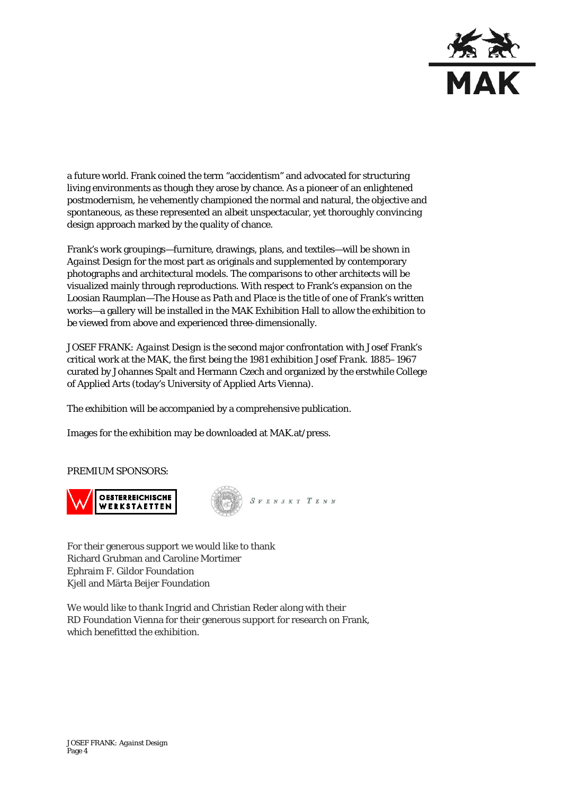

a future world. Frank coined the term "accidentism" and advocated for structuring living environments as though they arose by chance. As a pioneer of an enlightened postmodernism, he vehemently championed the normal and natural, the objective and spontaneous, as these represented an albeit unspectacular, yet thoroughly convincing design approach marked by the quality of chance.

Frank's work groupings—furniture, drawings, plans, and textiles—will be shown in *Against Design* for the most part as originals and supplemented by contemporary photographs and architectural models. The comparisons to other architects will be visualized mainly through reproductions. With respect to Frank's expansion on the Loosian Raumplan—*The House as Path and Place* is the title of one of Frank's written works—a gallery will be installed in the MAK Exhibition Hall to allow the exhibition to be viewed from above and experienced three-dimensionally.

*JOSEF FRANK: Against Design* is the second major confrontation with Josef Frank's critical work at the MAK, the first being the 1981 exhibition *Josef Frank. 1885*–*1967* curated by Johannes Spalt and Hermann Czech and organized by the erstwhile College of Applied Arts (today's University of Applied Arts Vienna).

The exhibition will be accompanied by a comprehensive publication.

Images for the exhibition may be downloaded at MAK.at/press.

#### PREMIUM SPONSORS:



For their generous support we would like to thank Richard Grubman and Caroline Mortimer Ephraim F. Gildor Foundation Kjell and Märta Beijer Foundation

We would like to thank Ingrid and Christian Reder along with their RD Foundation Vienna for their generous support for research on Frank, which benefitted the exhibition.